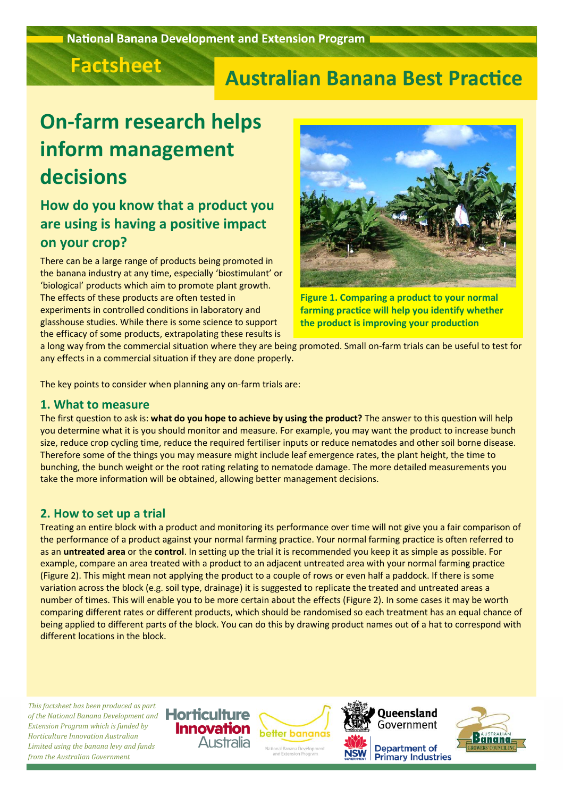

## **Australian Banana Best Practice**

# **On-farm research helps inform management decisions**

## **How do you know that a product you are using is having a positive impact on your crop?**

There can be a large range of products being promoted in the banana industry at any time, especially 'biostimulant' or 'biological' products which aim to promote plant growth. The effects of these products are often tested in experiments in controlled conditions in laboratory and glasshouse studies. While there is some science to support the efficacy of some products, extrapolating these results is



**Figure 1. Comparing a product to your normal farming practice will help you identify whether the product is improving your production**

a long way from the commercial situation where they are being promoted. Small on-farm trials can be useful to test for any effects in a commercial situation if they are done properly.

The key points to consider when planning any on-farm trials are:

#### **1. What to measure**

The first question to ask is: **what do you hope to achieve by using the product?** The answer to this question will help you determine what it is you should monitor and measure. For example, you may want the product to increase bunch size, reduce crop cycling time, reduce the required fertiliser inputs or reduce nematodes and other soil borne disease. Therefore some of the things you may measure might include leaf emergence rates, the plant height, the time to bunching, the bunch weight or the root rating relating to nematode damage. The more detailed measurements you take the more information will be obtained, allowing better management decisions.

### **2. How to set up a trial**

Treating an entire block with a product and monitoring its performance over time will not give you a fair comparison of the performance of a product against your normal farming practice. Your normal farming practice is often referred to as an **untreated area** or the **control**. In setting up the trial it is recommended you keep it as simple as possible. For example, compare an area treated with a product to an adjacent untreated area with your normal farming practice (Figure 2). This might mean not applying the product to a couple of rows or even half a paddock. If there is some variation across the block (e.g. soil type, drainage) it is suggested to replicate the treated and untreated areas a number of times. This will enable you to be more certain about the effects (Figure 2). In some cases it may be worth comparing different rates or different products, which should be randomised so each treatment has an equal chance of being applied to different parts of the block. You can do this by drawing product names out of a hat to correspond with different locations in the block.

*This factsheet has been produced as part of the National Banana Development and Extension Program which is funded by Horticulture Innovation Australian Limited using the banana levy and funds from the Australian Government*